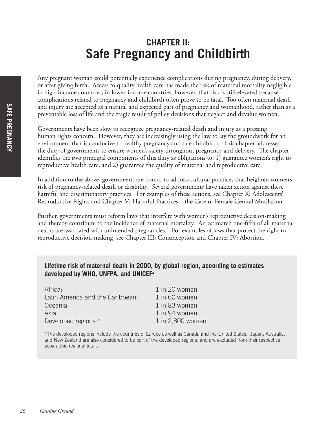# **CHAPTER II: Safe Pregnancy and Childbirth**

Any pregnant woman could potentially experience complications during pregnancy, during delivery, or after giving birth. Access to quality health care has made the risk of maternal mortality negligible in high-income countries; in lower-income countries, however, that risk is still elevated because complications related to pregnancy and childbirth often prove to be fatal. Too often maternal death and injury are accepted as a natural and expected part of pregnancy and womanhood, rather than as a preventable loss of life and the tragic result of policy decisions that neglect and devalue women. $^1$ 

Governments have been slow to recognize pregnancy-related death and injury as a pressing human rights concern. However, they are increasingly using the law to lay the groundwork for an environment that is conducive to healthy pregnancy and safe childbirth. This chapter addresses the duty of governments to ensure women's safety throughout pregnancy and delivery. The chapter identifies the two principal components of this duty as obligations to: 1) guarantee women's right to reproductive health care, and 2) guarantee the quality of maternal and reproductive care.

In addition to the above, governments are bound to address cultural practices that heighten women's risk of pregnancy-related death or disability. Several governments have taken action against these harmful and discriminatory practices. For examples of these actions, see Chapter X: Adolescents' Reproductive Rights and Chapter V: Harmful Practices—the Case of Female Genital Mutilation.

Further, governments must reform laws that interfere with women's reproductive decision-making and thereby contribute to the incidence of maternal mortality. An estimated one-fifth of all maternal deaths are associated with unintended pregnancies.2 For examples of laws that protect the right to reproductive decision-making, see Chapter III: Contraception and Chapter IV: Abortion.

### **Lifetime risk of maternal death in 2000, by global region, according to estimates developed by WHO, UNFPA, and UNICEF3**

| Africa:                          | 1 in 20 women    |
|----------------------------------|------------------|
| Latin America and the Caribbean: | 1 in 60 women    |
| Oceania:                         | 1 in 83 women    |
| Asia:                            | 1 in 94 women    |
| Developed regions:*              | 1 in 2,800 women |

\*The developed regions include the countries of Europe as well as Canada and the United States. Japan, Australia, and New Zealand are also considered to be part of the developed regions, and are excluded from their respective geographic regional totals.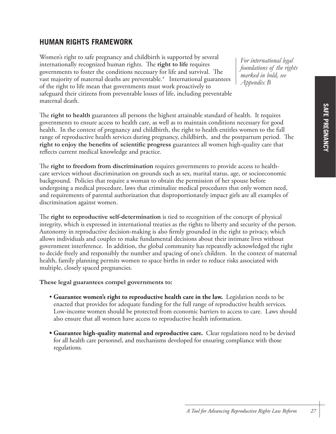# **HUMAN RIGHTS FRAMEWORK**

Women's right to safe pregnancy and childbirth is supported by several internationally recognized human rights. The **right to life** requires governments to foster the conditions necessary for life and survival. The vast majority of maternal deaths are preventable.<sup>4</sup> International guarantees of the right to life mean that governments must work proactively to safeguard their citizens from preventable losses of life, including preventable maternal death.

*For international legal foundations of the rights marked in bold, see Appendix B*

The **right to health** guarantees all persons the highest attainable standard of health. It requires governments to ensure access to health care, as well as to maintain conditions necessary for good health. In the context of pregnancy and childbirth, the right to health entitles women to the full range of reproductive health services during pregnancy, childbirth, and the postpartum period. The **right to enjoy the benefits of scientific progress** guarantees all women high-quality care that reflects current medical knowledge and practice.

The **right to freedom from discrimination** requires governments to provide access to healthcare services without discrimination on grounds such as sex, marital status, age, or socioeconomic background. Policies that require a woman to obtain the permission of her spouse before undergoing a medical procedure, laws that criminalize medical procedures that only women need, and requirements of parental authorization that disproportionately impact girls are all examples of discrimination against women.

The **right to reproductive self-determination** is tied to recognition of the concept of physical integrity, which is expressed in international treaties as the rights to liberty and security of the person. Autonomy in reproductive decision-making is also firmly grounded in the right to privacy, which allows individuals and couples to make fundamental decisions about their intimate lives without government interference. In addition, the global community has repeatedly acknowledged the right to decide freely and responsibly the number and spacing of one's children. In the context of maternal health, family planning permits women to space births in order to reduce risks associated with multiple, closely spaced pregnancies.

#### **These legal guarantees compel governments to:**

- **Guarantee women's right to reproductive health care in the law.** Legislation needs to be enacted that provides for adequate funding for the full range of reproductive health services. Low-income women should be protected from economic barriers to access to care. Laws should also ensure that all women have access to reproductive health information.
- **Guarantee high-quality maternal and reproductive care.** Clear regulations need to be devised for all health care personnel, and mechanisms developed for ensuring compliance with those regulations.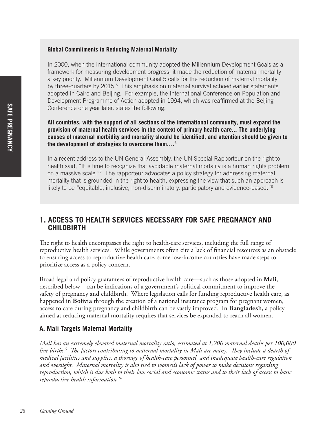### **Global Commitments to Reducing Maternal Mortality**

In 2000, when the international community adopted the Millennium Development Goals as a framework for measuring development progress, it made the reduction of maternal mortality a key priority. Millennium Development Goal 5 calls for the reduction of maternal mortality by three-quarters by 2015.<sup>5</sup> This emphasis on maternal survival echoed earlier statements adopted in Cairo and Beijing. For example, the International Conference on Population and Development Programme of Action adopted in 1994, which was reaffirmed at the Beijing Conference one year later, states the following:

**All countries, with the support of all sections of the international community, must expand the provision of maternal health services in the context of primary health care... The underlying causes of maternal morbidity and mortality should be identified, and attention should be given to the development of strategies to overcome them….6**

In a recent address to the UN General Assembly, the UN Special Rapporteur on the right to health said, "It is time to recognize that avoidable maternal mortality is a human rights problem on a massive scale."<sup>7</sup> The rapporteur advocates a policy strategy for addressing maternal mortality that is grounded in the right to health, expressing the view that such an approach is likely to be "equitable, inclusive, non-discriminatory, participatory and evidence-based."8

# **1. ACCESS TO HEALTH SERVICES NECESSARY FOR SAFE PREGNANCY AND CHILDBIRTH**

The right to health encompasses the right to health-care services, including the full range of reproductive health services. While governments often cite a lack of financial resources as an obstacle to ensuring access to reproductive health care, some low-income countries have made steps to prioritize access as a policy concern.

Broad legal and policy guarantees of reproductive health care—such as those adopted in **Mali**, described below—can be indications of a government's political commitment to improve the safety of pregnancy and childbirth. Where legislation calls for funding reproductive health care, as happened in **Bolivia** through the creation of a national insurance program for pregnant women, access to care during pregnancy and childbirth can be vastly improved. In **Bangladesh**, a policy aimed at reducing maternal mortality requires that services be expanded to reach all women.

### **A. Mali Targets Maternal Mortality**

*Mali has an extremely elevated maternal mortality ratio, estimated at 1,200 maternal deaths per 100,000 live births.9 The factors contributing to maternal mortality in Mali are many. They include a dearth of medical facilities and supplies, a shortage of health-care personnel, and inadequate health-care regulation and oversight. Maternal mortality is also tied to women's lack of power to make decisions regarding reproduction, which is due both to their low social and economic status and to their lack of access to basic reproductive health information.10*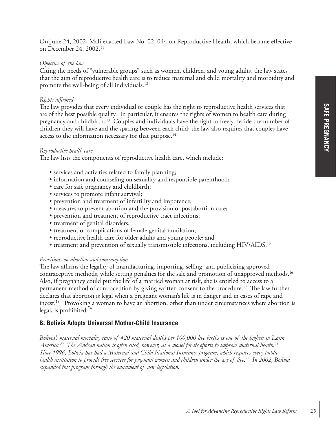## *Objective of the law*

Citing the needs of "vulnerable groups" such as women, children, and young adults, the law states that the aim of reproductive health care is to reduce maternal and child mortality and morbidity and promote the well-being of all individuals.12

# *Rights affirmed*

The law provides that every individual or couple has the right to reproductive health services that are of the best possible quality. In particular, it ensures the rights of women to health care during pregnancy and childbirth. 13 Couples and individuals have the right to freely decide the number of children they will have and the spacing between each child; the law also requires that couples have access to the information necessary for that purpose.<sup>14</sup>

## *Reproductive health care*

The law lists the components of reproductive health care, which include:

- services and activities related to family planning;
- information and counseling on sexuality and responsible parenthood;
- care for safe pregnancy and childbirth;
- services to promote infant survival;
- prevention and treatment of infertility and impotence;
- measures to prevent abortion and the provision of postabortion care;
- prevention and treatment of reproductive tract infections;
- treatment of genital disorders;
- treatment of complications of female genital mutilation;
- reproductive health care for older adults and young people; and
- treatment and prevention of sexually transmissible infections, including HIV/AIDS.<sup>15</sup>

# *Provisions on abortion and contraception*

The law affirms the legality of manufacturing, importing, selling, and publicizing approved contraceptive methods, while setting penalties for the sale and promotion of unapproved methods.<sup>16</sup> Also, if pregnancy could put the life of a married woman at risk, she is entitled to access to a permanent method of contraception by giving written consent to the procedure.<sup>17</sup> The law further declares that abortion is legal when a pregnant woman's life is in danger and in cases of rape and incest.<sup>18</sup> Provoking a woman to have an abortion, other than under circumstances where abortion is legal, is prohibited.19

# **B. Bolivia Adopts Universal Mother-Child Insurance**

*Bolivia's maternal mortality ratio of 420 maternal deaths per 100,000 live births is one of the highest in Latin America.20 The Andean nation is often cited, however, as a model for its efforts to improve maternal health.21 Since 1996, Bolivia has had a Maternal and Child National Insurance program, which requires every public health institution to provide free services for pregnant women and children under the age of five.22 In 2002, Bolivia expanded this program through the enactment of new legislation.*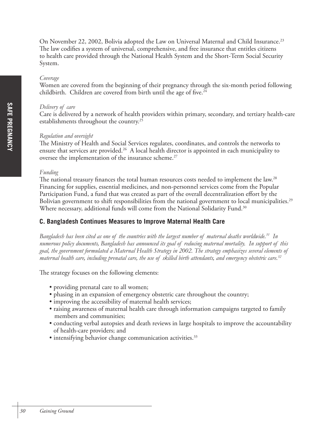On November 22, 2002, Bolivia adopted the Law on Universal Maternal and Child Insurance.<sup>23</sup> The law codifies a system of universal, comprehensive, and free insurance that entitles citizens to health care provided through the National Health System and the Short-Term Social Security System.

#### *Coverage*

Women are covered from the beginning of their pregnancy through the six-month period following childbirth. Children are covered from birth until the age of five. $24$ 

#### *Delivery of care*

Care is delivered by a network of health providers within primary, secondary, and tertiary health-care establishments throughout the country.25

#### *Regulation and oversight*

The Ministry of Health and Social Services regulates, coordinates, and controls the networks to ensure that services are provided.<sup>26</sup> A local health director is appointed in each municipality to oversee the implementation of the insurance scheme.<sup>27</sup>

#### *Funding*

The national treasury finances the total human resources costs needed to implement the law.<sup>28</sup> Financing for supplies, essential medicines, and non-personnel services come from the Popular Participation Fund, a fund that was created as part of the overall decentralization effort by the Bolivian government to shift responsibilities from the national government to local municipalities.<sup>29</sup> Where necessary, additional funds will come from the National Solidarity Fund.<sup>30</sup>

### **C. Bangladesh Continues Measures to Improve Maternal Health Care**

*Bangladesh has been cited as one of the countries with the largest number of maternal deaths worldwide.31 In numerous policy documents, Bangladesh has announced its goal of reducing maternal mortality. In support of this goal, the government formulated a Maternal Health Strategy in 2002. The strategy emphasizes several elements of maternal health care, including prenatal care, the use of skilled birth attendants, and emergency obstetric care.32*

The strategy focuses on the following elements:

- providing prenatal care to all women;
- phasing in an expansion of emergency obstetric care throughout the country;
- improving the accessibility of maternal health services;
- raising awareness of maternal health care through information campaigns targeted to family members and communities;
- conducting verbal autopsies and death reviews in large hospitals to improve the accountability of health-care providers; and
- intensifying behavior change communication activities.<sup>33</sup>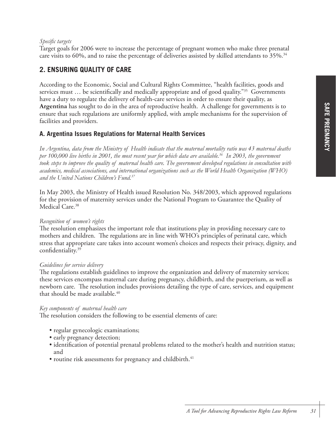### *Specific targets*

Target goals for 2006 were to increase the percentage of pregnant women who make three prenatal care visits to 60%, and to raise the percentage of deliveries assisted by skilled attendants to 35%.<sup>34</sup>

# **2. ENSURING QUALITY OF CARE**

According to the Economic, Social and Cultural Rights Committee, "health facilities, goods and services must ... be scientifically and medically appropriate and of good quality."<sup>35</sup> Governments have a duty to regulate the delivery of health-care services in order to ensure their quality, as **Argentina** has sought to do in the area of reproductive health. A challenge for governments is to ensure that such regulations are uniformly applied, with ample mechanisms for the supervision of facilities and providers.

### **A. Argentina Issues Regulations for Maternal Health Services**

*In Argentina, data from the Ministry of Health indicate that the maternal mortality ratio was 43 maternal deaths per 100,000 live births in 2001, the most recent year for which data are available.36 In 2003, the government took steps to improve the quality of maternal health care. The government developed regulations in consultation with academics, medical associations, and international organizations such as the World Health Organization (WHO) and the United Nations Children's Fund.37*

In May 2003, the Ministry of Health issued Resolution No. 348/2003, which approved regulations for the provision of maternity services under the National Program to Guarantee the Quality of Medical Care.<sup>38</sup>

### *Recognition of women's rights*

The resolution emphasizes the important role that institutions play in providing necessary care to mothers and children. The regulations are in line with WHO's principles of perinatal care, which stress that appropriate care takes into account women's choices and respects their privacy, dignity, and confidentiality.39

### *Guidelines for service delivery*

The regulations establish guidelines to improve the organization and delivery of maternity services; these services encompass maternal care during pregnancy, childbirth, and the puerperium, as well as newborn care. The resolution includes provisions detailing the type of care, services, and equipment that should be made available.<sup>40</sup>

### *Key components of maternal health care*

The resolution considers the following to be essential elements of care:

- regular gynecologic examinations;
- early pregnancy detection;
- identification of potential prenatal problems related to the mother's health and nutrition status; and
- routine risk assessments for pregnancy and childbirth.<sup>41</sup>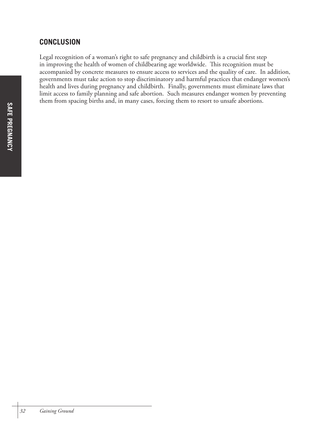# **CONCLUSION**

Legal recognition of a woman's right to safe pregnancy and childbirth is a crucial first step in improving the health of women of childbearing age worldwide. This recognition must be accompanied by concrete measures to ensure access to services and the quality of care. In addition, governments must take action to stop discriminatory and harmful practices that endanger women's health and lives during pregnancy and childbirth. Finally, governments must eliminate laws that limit access to family planning and safe abortion. Such measures endanger women by preventing them from spacing births and, in many cases, forcing them to resort to unsafe abortions.